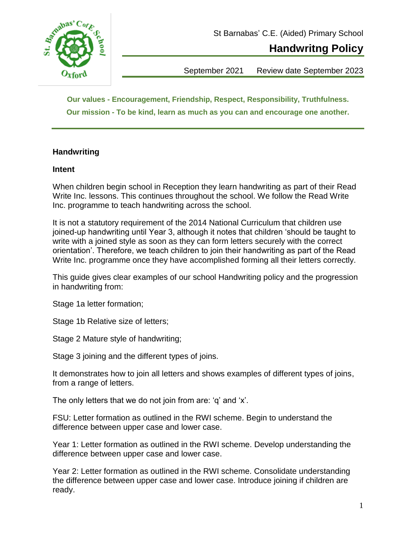

# **Handwritng Policy**

September 2021 Review date September 2023

**Our values - Encouragement, Friendship, Respect, Responsibility, Truthfulness. Our mission - To be kind, learn as much as you can and encourage one another.**

## **Handwriting**

#### **Intent**

When children begin school in Reception they learn handwriting as part of their Read Write Inc. lessons. This continues throughout the school. We follow the Read Write Inc. programme to teach handwriting across the school.

It is not a statutory requirement of the 2014 National Curriculum that children use joined-up handwriting until Year 3, although it notes that children 'should be taught to write with a joined style as soon as they can form letters securely with the correct orientation'. Therefore, we teach children to join their handwriting as part of the Read Write Inc. programme once they have accomplished forming all their letters correctly.

This guide gives clear examples of our school Handwriting policy and the progression in handwriting from:

Stage 1a letter formation;

Stage 1b Relative size of letters;

Stage 2 Mature style of handwriting;

Stage 3 joining and the different types of joins.

It demonstrates how to join all letters and shows examples of different types of joins, from a range of letters.

The only letters that we do not join from are: 'q' and 'x'.

FSU: Letter formation as outlined in the RWI scheme. Begin to understand the difference between upper case and lower case.

Year 1: Letter formation as outlined in the RWI scheme. Develop understanding the difference between upper case and lower case.

Year 2: Letter formation as outlined in the RWI scheme. Consolidate understanding the difference between upper case and lower case. Introduce joining if children are ready.